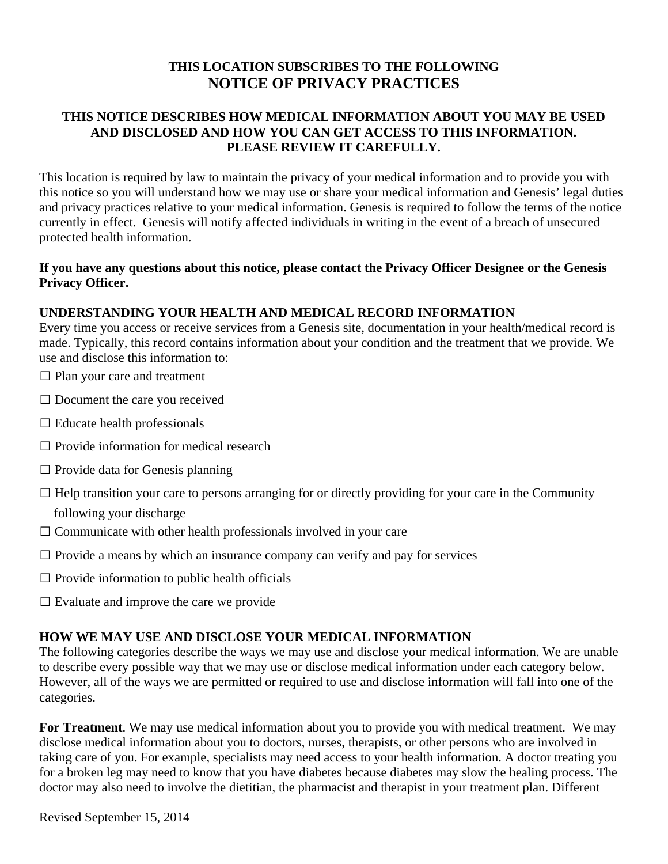# **THIS LOCATION SUBSCRIBES TO THE FOLLOWING NOTICE OF PRIVACY PRACTICES**

### **THIS NOTICE DESCRIBES HOW MEDICAL INFORMATION ABOUT YOU MAY BE USED AND DISCLOSED AND HOW YOU CAN GET ACCESS TO THIS INFORMATION. PLEASE REVIEW IT CAREFULLY.**

This location is required by law to maintain the privacy of your medical information and to provide you with this notice so you will understand how we may use or share your medical information and Genesis' legal duties and privacy practices relative to your medical information. Genesis is required to follow the terms of the notice currently in effect. Genesis will notify affected individuals in writing in the event of a breach of unsecured protected health information.

### **If you have any questions about this notice, please contact the Privacy Officer Designee or the Genesis Privacy Officer.**

### **UNDERSTANDING YOUR HEALTH AND MEDICAL RECORD INFORMATION**

Every time you access or receive services from a Genesis site, documentation in your health/medical record is made. Typically, this record contains information about your condition and the treatment that we provide. We use and disclose this information to:

- $\Box$  Plan your care and treatment
- $\square$  Document the care you received
- $\square$  Educate health professionals
- $\Box$  Provide information for medical research
- $\square$  Provide data for Genesis planning
- $\Box$  Help transition your care to persons arranging for or directly providing for your care in the Community
	- following your discharge
- $\Box$  Communicate with other health professionals involved in your care
- $\Box$  Provide a means by which an insurance company can verify and pay for services
- $\square$  Provide information to public health officials
- $\square$  Evaluate and improve the care we provide

#### **HOW WE MAY USE AND DISCLOSE YOUR MEDICAL INFORMATION**

The following categories describe the ways we may use and disclose your medical information. We are unable to describe every possible way that we may use or disclose medical information under each category below. However, all of the ways we are permitted or required to use and disclose information will fall into one of the categories.

**For Treatment**. We may use medical information about you to provide you with medical treatment. We may disclose medical information about you to doctors, nurses, therapists, or other persons who are involved in taking care of you. For example, specialists may need access to your health information. A doctor treating you for a broken leg may need to know that you have diabetes because diabetes may slow the healing process. The doctor may also need to involve the dietitian, the pharmacist and therapist in your treatment plan. Different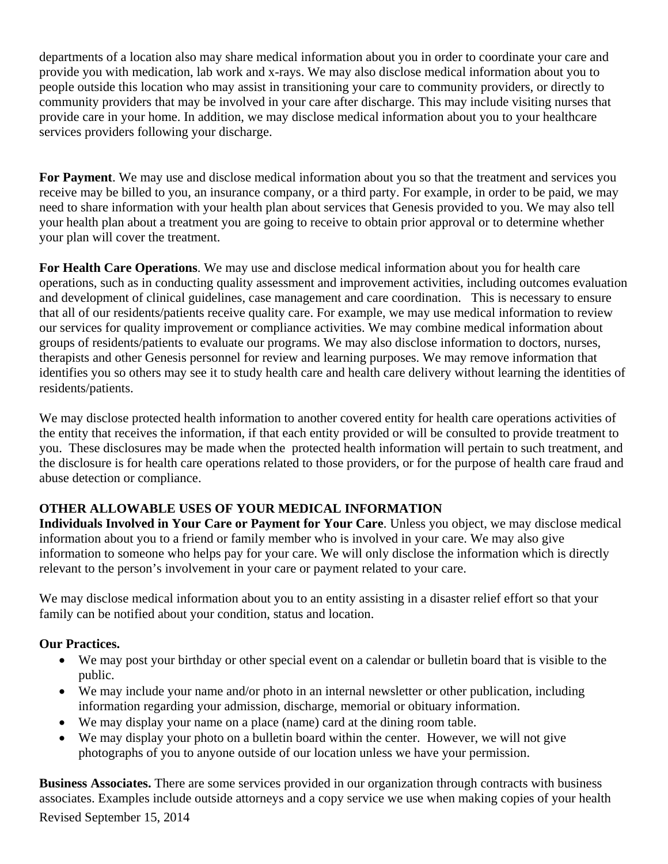departments of a location also may share medical information about you in order to coordinate your care and provide you with medication, lab work and x-rays. We may also disclose medical information about you to people outside this location who may assist in transitioning your care to community providers, or directly to community providers that may be involved in your care after discharge. This may include visiting nurses that provide care in your home. In addition, we may disclose medical information about you to your healthcare services providers following your discharge.

**For Payment**. We may use and disclose medical information about you so that the treatment and services you receive may be billed to you, an insurance company, or a third party. For example, in order to be paid, we may need to share information with your health plan about services that Genesis provided to you. We may also tell your health plan about a treatment you are going to receive to obtain prior approval or to determine whether your plan will cover the treatment.

**For Health Care Operations**. We may use and disclose medical information about you for health care operations, such as in conducting quality assessment and improvement activities, including outcomes evaluation and development of clinical guidelines, case management and care coordination. This is necessary to ensure that all of our residents/patients receive quality care. For example, we may use medical information to review our services for quality improvement or compliance activities. We may combine medical information about groups of residents/patients to evaluate our programs. We may also disclose information to doctors, nurses, therapists and other Genesis personnel for review and learning purposes. We may remove information that identifies you so others may see it to study health care and health care delivery without learning the identities of residents/patients.

We may disclose protected health information to another covered entity for health care operations activities of the entity that receives the information, if that each entity provided or will be consulted to provide treatment to you. These disclosures may be made when the protected health information will pertain to such treatment, and the disclosure is for health care operations related to those providers, or for the purpose of health care fraud and abuse detection or compliance.

# **OTHER ALLOWABLE USES OF YOUR MEDICAL INFORMATION**

**Individuals Involved in Your Care or Payment for Your Care**. Unless you object, we may disclose medical information about you to a friend or family member who is involved in your care. We may also give information to someone who helps pay for your care. We will only disclose the information which is directly relevant to the person's involvement in your care or payment related to your care.

We may disclose medical information about you to an entity assisting in a disaster relief effort so that your family can be notified about your condition, status and location.

# **Our Practices.**

- We may post your birthday or other special event on a calendar or bulletin board that is visible to the public.
- We may include your name and/or photo in an internal newsletter or other publication, including information regarding your admission, discharge, memorial or obituary information.
- We may display your name on a place (name) card at the dining room table.
- We may display your photo on a bulletin board within the center. However, we will not give photographs of you to anyone outside of our location unless we have your permission.

**Business Associates.** There are some services provided in our organization through contracts with business associates. Examples include outside attorneys and a copy service we use when making copies of your health Revised September 15, 2014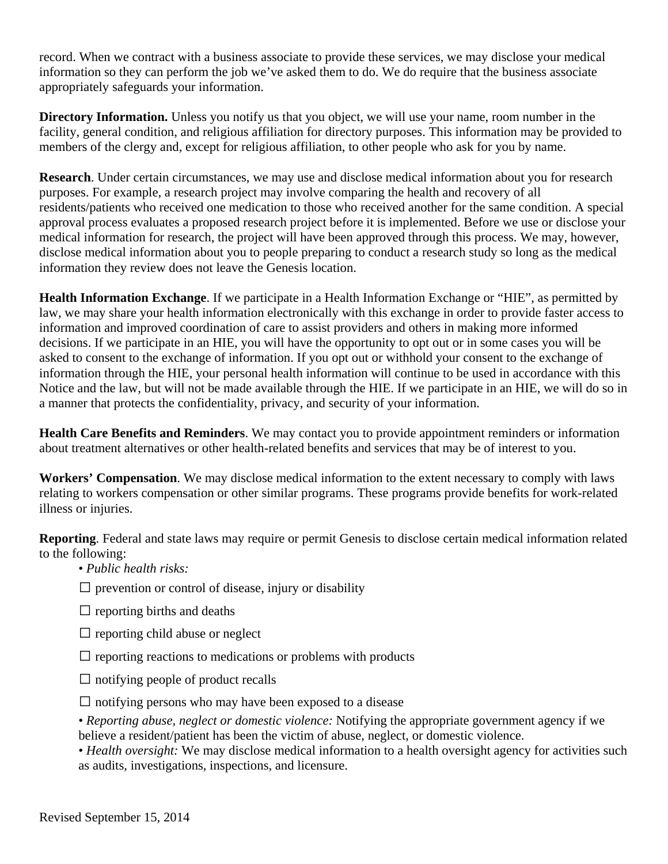record. When we contract with a business associate to provide these services, we may disclose your medical information so they can perform the job we've asked them to do. We do require that the business associate appropriately safeguards your information.

**Directory Information.** Unless you notify us that you object, we will use your name, room number in the facility, general condition, and religious affiliation for directory purposes. This information may be provided to members of the clergy and, except for religious affiliation, to other people who ask for you by name.

**Research**. Under certain circumstances, we may use and disclose medical information about you for research purposes. For example, a research project may involve comparing the health and recovery of all residents/patients who received one medication to those who received another for the same condition. A special approval process evaluates a proposed research project before it is implemented. Before we use or disclose your medical information for research, the project will have been approved through this process. We may, however, disclose medical information about you to people preparing to conduct a research study so long as the medical information they review does not leave the Genesis location.

**Health Information Exchange**. If we participate in a Health Information Exchange or "HIE", as permitted by law, we may share your health information electronically with this exchange in order to provide faster access to information and improved coordination of care to assist providers and others in making more informed decisions. If we participate in an HIE, you will have the opportunity to opt out or in some cases you will be asked to consent to the exchange of information. If you opt out or withhold your consent to the exchange of information through the HIE, your personal health information will continue to be used in accordance with this Notice and the law, but will not be made available through the HIE. If we participate in an HIE, we will do so in a manner that protects the confidentiality, privacy, and security of your information.

**Health Care Benefits and Reminders**. We may contact you to provide appointment reminders or information about treatment alternatives or other health-related benefits and services that may be of interest to you.

**Workers' Compensation**. We may disclose medical information to the extent necessary to comply with laws relating to workers compensation or other similar programs. These programs provide benefits for work-related illness or injuries.

**Reporting**. Federal and state laws may require or permit Genesis to disclose certain medical information related to the following:

- *Public health risks:*
- $\square$  prevention or control of disease, injury or disability
- $\Box$  reporting births and deaths
- $\Box$  reporting child abuse or neglect
- $\Box$  reporting reactions to medications or problems with products
- $\Box$  notifying people of product recalls
- $\Box$  notifying persons who may have been exposed to a disease

• *Reporting abuse, neglect or domestic violence:* Notifying the appropriate government agency if we believe a resident/patient has been the victim of abuse, neglect, or domestic violence.

• *Health oversight:* We may disclose medical information to a health oversight agency for activities such as audits, investigations, inspections, and licensure.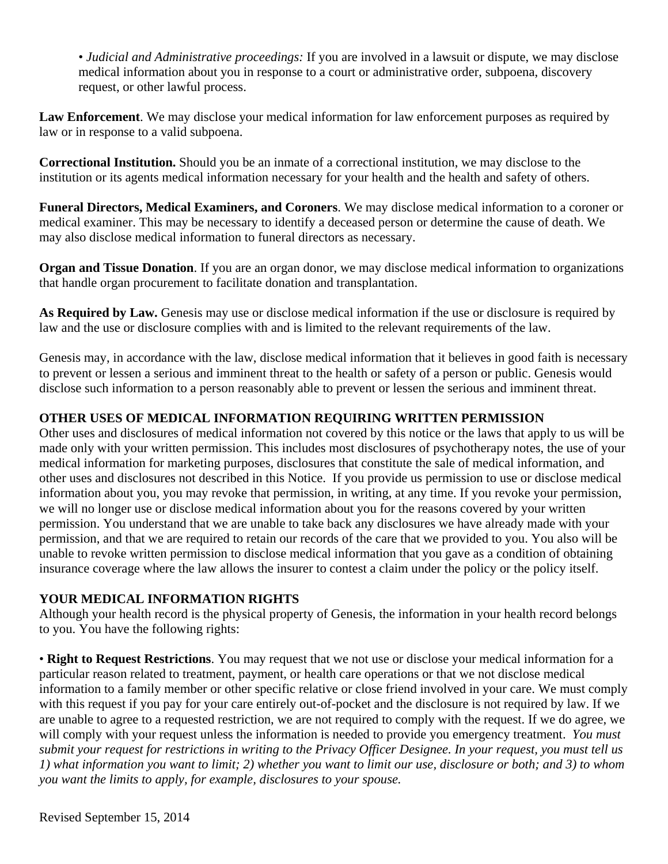• *Judicial and Administrative proceedings:* If you are involved in a lawsuit or dispute, we may disclose medical information about you in response to a court or administrative order, subpoena, discovery request, or other lawful process.

**Law Enforcement**. We may disclose your medical information for law enforcement purposes as required by law or in response to a valid subpoena.

**Correctional Institution.** Should you be an inmate of a correctional institution, we may disclose to the institution or its agents medical information necessary for your health and the health and safety of others.

**Funeral Directors, Medical Examiners, and Coroners**. We may disclose medical information to a coroner or medical examiner. This may be necessary to identify a deceased person or determine the cause of death. We may also disclose medical information to funeral directors as necessary.

**Organ and Tissue Donation**. If you are an organ donor, we may disclose medical information to organizations that handle organ procurement to facilitate donation and transplantation.

**As Required by Law.** Genesis may use or disclose medical information if the use or disclosure is required by law and the use or disclosure complies with and is limited to the relevant requirements of the law.

Genesis may, in accordance with the law, disclose medical information that it believes in good faith is necessary to prevent or lessen a serious and imminent threat to the health or safety of a person or public. Genesis would disclose such information to a person reasonably able to prevent or lessen the serious and imminent threat.

# **OTHER USES OF MEDICAL INFORMATION REQUIRING WRITTEN PERMISSION**

Other uses and disclosures of medical information not covered by this notice or the laws that apply to us will be made only with your written permission. This includes most disclosures of psychotherapy notes, the use of your medical information for marketing purposes, disclosures that constitute the sale of medical information, and other uses and disclosures not described in this Notice. If you provide us permission to use or disclose medical information about you, you may revoke that permission, in writing, at any time. If you revoke your permission, we will no longer use or disclose medical information about you for the reasons covered by your written permission. You understand that we are unable to take back any disclosures we have already made with your permission, and that we are required to retain our records of the care that we provided to you. You also will be unable to revoke written permission to disclose medical information that you gave as a condition of obtaining insurance coverage where the law allows the insurer to contest a claim under the policy or the policy itself.

#### **YOUR MEDICAL INFORMATION RIGHTS**

Although your health record is the physical property of Genesis, the information in your health record belongs to you. You have the following rights:

• **Right to Request Restrictions**. You may request that we not use or disclose your medical information for a particular reason related to treatment, payment, or health care operations or that we not disclose medical information to a family member or other specific relative or close friend involved in your care. We must comply with this request if you pay for your care entirely out-of-pocket and the disclosure is not required by law. If we are unable to agree to a requested restriction, we are not required to comply with the request. If we do agree, we will comply with your request unless the information is needed to provide you emergency treatment. *You must submit your request for restrictions in writing to the Privacy Officer Designee. In your request, you must tell us 1) what information you want to limit; 2) whether you want to limit our use, disclosure or both; and 3) to whom you want the limits to apply, for example, disclosures to your spouse.*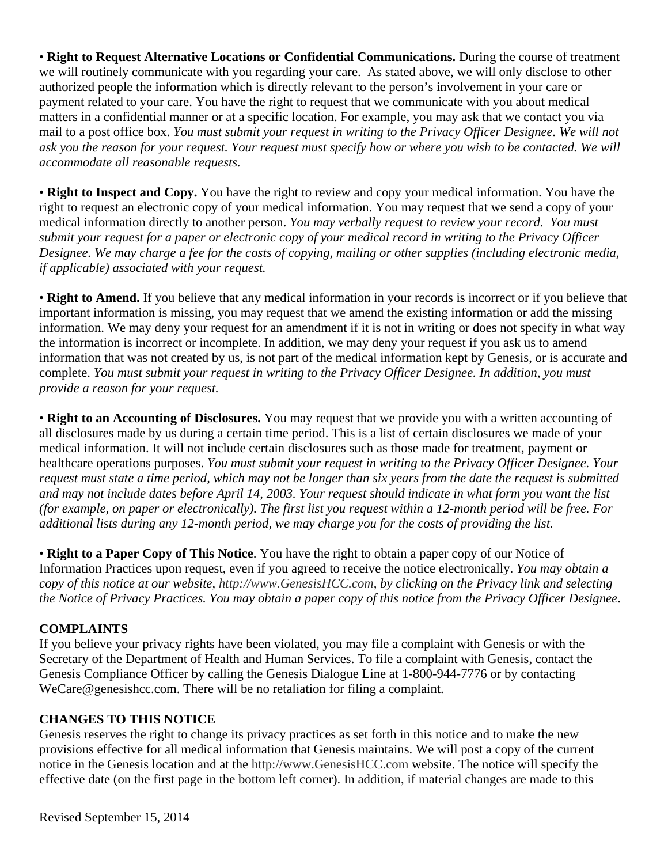• **Right to Request Alternative Locations or Confidential Communications.** During the course of treatment we will routinely communicate with you regarding your care. As stated above, we will only disclose to other authorized people the information which is directly relevant to the person's involvement in your care or payment related to your care. You have the right to request that we communicate with you about medical matters in a confidential manner or at a specific location. For example, you may ask that we contact you via mail to a post office box. *You must submit your request in writing to the Privacy Officer Designee. We will not ask you the reason for your request. Your request must specify how or where you wish to be contacted. We will accommodate all reasonable requests.* 

• **Right to Inspect and Copy.** You have the right to review and copy your medical information. You have the right to request an electronic copy of your medical information. You may request that we send a copy of your medical information directly to another person. *You may verbally request to review your record. You must submit your request for a paper or electronic copy of your medical record in writing to the Privacy Officer Designee. We may charge a fee for the costs of copying, mailing or other supplies (including electronic media, if applicable) associated with your request.* 

• **Right to Amend.** If you believe that any medical information in your records is incorrect or if you believe that important information is missing, you may request that we amend the existing information or add the missing information. We may deny your request for an amendment if it is not in writing or does not specify in what way the information is incorrect or incomplete. In addition, we may deny your request if you ask us to amend information that was not created by us, is not part of the medical information kept by Genesis, or is accurate and complete. *You must submit your request in writing to the Privacy Officer Designee. In addition, you must provide a reason for your request.* 

• **Right to an Accounting of Disclosures.** You may request that we provide you with a written accounting of all disclosures made by us during a certain time period. This is a list of certain disclosures we made of your medical information. It will not include certain disclosures such as those made for treatment, payment or healthcare operations purposes. *You must submit your request in writing to the Privacy Officer Designee. Your request must state a time period, which may not be longer than six years from the date the request is submitted and may not include dates before April 14, 2003. Your request should indicate in what form you want the list (for example, on paper or electronically). The first list you request within a 12-month period will be free. For additional lists during any 12-month period, we may charge you for the costs of providing the list.* 

• **Right to a Paper Copy of This Notice**. You have the right to obtain a paper copy of our Notice of Information Practices upon request, even if you agreed to receive the notice electronically. *You may obtain a copy of this notice at our website, http://www.GenesisHCC.com, by clicking on the Privacy link and selecting the Notice of Privacy Practices. You may obtain a paper copy of this notice from the Privacy Officer Designee*.

# **COMPLAINTS**

If you believe your privacy rights have been violated, you may file a complaint with Genesis or with the Secretary of the Department of Health and Human Services. To file a complaint with Genesis, contact the Genesis Compliance Officer by calling the Genesis Dialogue Line at 1-800-944-7776 or by contacting WeCare@genesishcc.com. There will be no retaliation for filing a complaint.

#### **CHANGES TO THIS NOTICE**

Genesis reserves the right to change its privacy practices as set forth in this notice and to make the new provisions effective for all medical information that Genesis maintains. We will post a copy of the current notice in the Genesis location and at the http://www.GenesisHCC.com website. The notice will specify the effective date (on the first page in the bottom left corner). In addition, if material changes are made to this